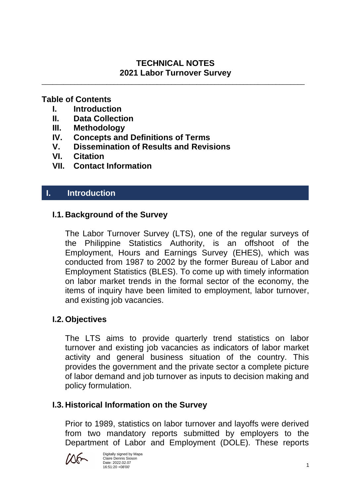## **TECHNICAL NOTES 2021 Labor Turnover Survey**

\_\_\_\_\_\_\_\_\_\_\_\_\_\_\_\_\_\_\_\_\_\_\_\_\_\_\_\_\_\_\_\_\_\_\_\_\_\_\_\_\_\_\_\_\_\_\_\_\_\_\_\_\_\_\_\_\_\_\_\_\_\_\_\_\_\_\_\_\_\_\_\_\_

## **Table of Contents**

- **I. Introduction**
- **II. Data Collection**
- **III. Methodology**
- **IV. Concepts and Definitions of Terms**
- **V. Dissemination of Results and Revisions**
- **VI. Citation**
- **VII. Contact Information**

## **I. Introduction**

## **I.1. Background of the Survey**

The Labor Turnover Survey (LTS), one of the regular surveys of the Philippine Statistics Authority, is an offshoot of the Employment, Hours and Earnings Survey (EHES), which was conducted from 1987 to 2002 by the former Bureau of Labor and Employment Statistics (BLES). To come up with timely information on labor market trends in the formal sector of the economy, the items of inquiry have been limited to employment, labor turnover, and existing job vacancies.

## **I.2. Objectives**

The LTS aims to provide quarterly trend statistics on labor turnover and existing job vacancies as indicators of labor market activity and general business situation of the country. This provides the government and the private sector a complete picture of labor demand and job turnover as inputs to decision making and policy formulation.

## **I.3. Historical Information on the Survey**

Prior to 1989, statistics on labor turnover and layoffs were derived from two mandatory reports submitted by employers to the Department of Labor and Employment (DOLE). These reports

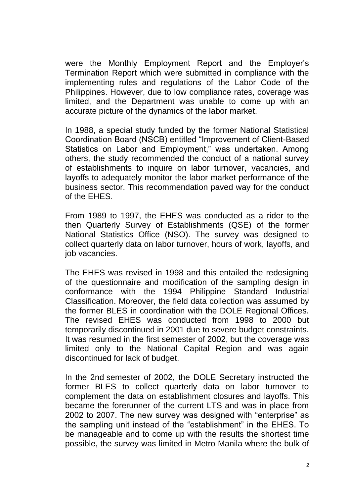were the Monthly Employment Report and the Employer's Termination Report which were submitted in compliance with the implementing rules and regulations of the Labor Code of the Philippines. However, due to low compliance rates, coverage was limited, and the Department was unable to come up with an accurate picture of the dynamics of the labor market.

In 1988, a special study funded by the former National Statistical Coordination Board (NSCB) entitled "Improvement of Client-Based Statistics on Labor and Employment," was undertaken. Among others, the study recommended the conduct of a national survey of establishments to inquire on labor turnover, vacancies, and layoffs to adequately monitor the labor market performance of the business sector. This recommendation paved way for the conduct of the EHES.

From 1989 to 1997, the EHES was conducted as a rider to the then Quarterly Survey of Establishments (QSE) of the former National Statistics Office (NSO). The survey was designed to collect quarterly data on labor turnover, hours of work, layoffs, and job vacancies.

The EHES was revised in 1998 and this entailed the redesigning of the questionnaire and modification of the sampling design in conformance with the 1994 Philippine Standard Industrial Classification. Moreover, the field data collection was assumed by the former BLES in coordination with the DOLE Regional Offices. The revised EHES was conducted from 1998 to 2000 but temporarily discontinued in 2001 due to severe budget constraints. It was resumed in the first semester of 2002, but the coverage was limited only to the National Capital Region and was again discontinued for lack of budget.

In the 2nd semester of 2002, the DOLE Secretary instructed the former BLES to collect quarterly data on labor turnover to complement the data on establishment closures and layoffs. This became the forerunner of the current LTS and was in place from 2002 to 2007. The new survey was designed with "enterprise" as the sampling unit instead of the "establishment" in the EHES. To be manageable and to come up with the results the shortest time possible, the survey was limited in Metro Manila where the bulk of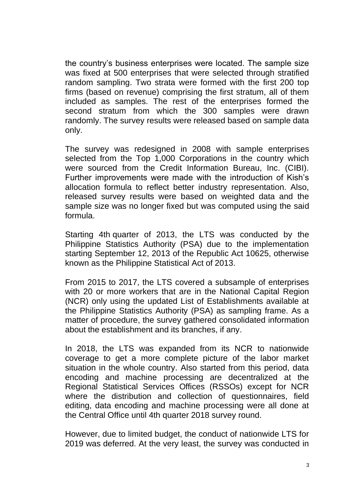the country's business enterprises were located. The sample size was fixed at 500 enterprises that were selected through stratified random sampling. Two strata were formed with the first 200 top firms (based on revenue) comprising the first stratum, all of them included as samples. The rest of the enterprises formed the second stratum from which the 300 samples were drawn randomly. The survey results were released based on sample data only.

The survey was redesigned in 2008 with sample enterprises selected from the Top 1,000 Corporations in the country which were sourced from the Credit Information Bureau, Inc. (CIBI). Further improvements were made with the introduction of Kish's allocation formula to reflect better industry representation. Also, released survey results were based on weighted data and the sample size was no longer fixed but was computed using the said formula.

Starting 4th quarter of 2013, the LTS was conducted by the Philippine Statistics Authority (PSA) due to the implementation starting September 12, 2013 of the Republic Act 10625, otherwise known as the Philippine Statistical Act of 2013.

From 2015 to 2017, the LTS covered a subsample of enterprises with 20 or more workers that are in the National Capital Region (NCR) only using the updated List of Establishments available at the Philippine Statistics Authority (PSA) as sampling frame. As a matter of procedure, the survey gathered consolidated information about the establishment and its branches, if any.

In 2018, the LTS was expanded from its NCR to nationwide coverage to get a more complete picture of the labor market situation in the whole country. Also started from this period, data encoding and machine processing are decentralized at the Regional Statistical Services Offices (RSSOs) except for NCR where the distribution and collection of questionnaires, field editing, data encoding and machine processing were all done at the Central Office until 4th quarter 2018 survey round.

However, due to limited budget, the conduct of nationwide LTS for 2019 was deferred. At the very least, the survey was conducted in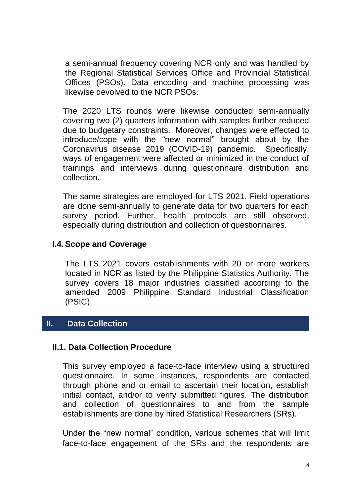a semi-annual frequency covering NCR only and was handled by the Regional Statistical Services Office and Provincial Statistical Offices (PSOs). Data encoding and machine processing was likewise devolved to the NCR PSOs.

The 2020 LTS rounds were likewise conducted semi-annually covering two (2) quarters information with samples further reduced due to budgetary constraints. Moreover, changes were effected to introduce/cope with the "new normal" brought about by the Coronavirus disease 2019 (COVID-19) pandemic. Specifically, ways of engagement were affected or minimized in the conduct of trainings and interviews during questionnaire distribution and collection.

The same strategies are employed for LTS 2021. Field operations are done semi-annually to generate data for two quarters for each survey period. Further, health protocols are still observed, especially during distribution and collection of questionnaires.

### **I.4. Scope and Coverage**

The LTS 2021 covers establishments with 20 or more workers located in NCR as listed by the Philippine Statistics Authority. The survey covers 18 major industries classified according to the amended 2009 Philippine Standard Industrial Classification (PSIC).

## **II. Data Collection**

#### **II.1. Data Collection Procedure**

This survey employed a face-to-face interview using a structured questionnaire. In some instances, respondents are contacted through phone and or email to ascertain their location, establish initial contact, and/or to verify submitted figures. The distribution and collection of questionnaires to and from the sample establishments are done by hired Statistical Researchers (SRs).

Under the "new normal" condition, various schemes that will limit face-to-face engagement of the SRs and the respondents are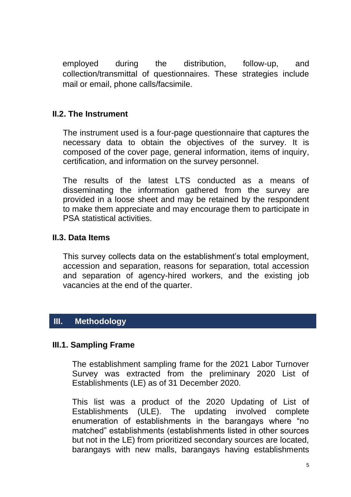employed during the distribution, follow-up, and collection/transmittal of questionnaires. These strategies include mail or email, phone calls/facsimile.

## **II.2. The Instrument**

The instrument used is a four-page questionnaire that captures the necessary data to obtain the objectives of the survey. It is composed of the cover page, general information, items of inquiry, certification, and information on the survey personnel.

The results of the latest LTS conducted as a means of disseminating the information gathered from the survey are provided in a loose sheet and may be retained by the respondent to make them appreciate and may encourage them to participate in PSA statistical activities.

## **II.3. Data Items**

This survey collects data on the establishment's total employment, accession and separation, reasons for separation, total accession and separation of agency-hired workers, and the existing job vacancies at the end of the quarter.

## **III. Methodology**

#### **III.1. Sampling Frame**

The establishment sampling frame for the 2021 Labor Turnover Survey was extracted from the preliminary 2020 List of Establishments (LE) as of 31 December 2020.

This list was a product of the 2020 Updating of List of Establishments (ULE). The updating involved complete enumeration of establishments in the barangays where "no matched" establishments (establishments listed in other sources but not in the LE) from prioritized secondary sources are located, barangays with new malls, barangays having establishments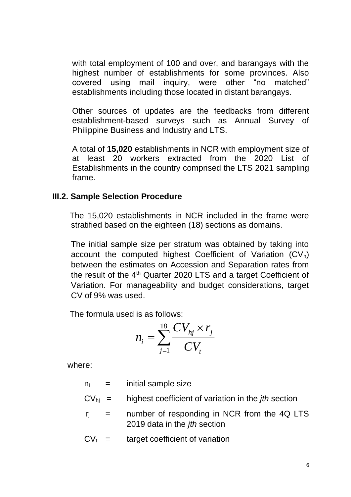with total employment of 100 and over, and barangays with the highest number of establishments for some provinces. Also covered using mail inquiry, were other "no matched" establishments including those located in distant barangays.

Other sources of updates are the feedbacks from different establishment-based surveys such as Annual Survey of Philippine Business and Industry and LTS.

A total of **15,020** establishments in NCR with employment size of at least 20 workers extracted from the 2020 List of Establishments in the country comprised the LTS 2021 sampling frame.

#### **III.2. Sample Selection Procedure**

 The 15,020 establishments in NCR included in the frame were stratified based on the eighteen (18) sections as domains.

The initial sample size per stratum was obtained by taking into account the computed highest Coefficient of Variation  $(CV_h)$ between the estimates on Accession and Separation rates from the result of the 4<sup>th</sup> Quarter 2020 LTS and a target Coefficient of Variation. For manageability and budget considerations, target CV of 9% was used.

The formula used is as follows:

$$
n_{i} = \sum_{j=1}^{18} \frac{CV_{hj} \times r_{j}}{CV_{t}}
$$

where:

- $n_i$  = initial sample size
- CVhj = highest coefficient of variation in the *jth* section
- $r_i$  = number of responding in NCR from the 4Q LTS 2019 data in the *jth* section
- $CV<sub>t</sub>$  = target coefficient of variation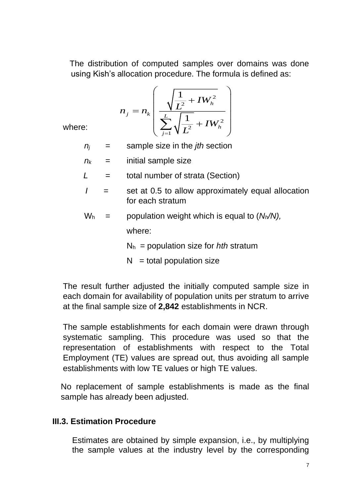The distribution of computed samples over domains was done using Kish's allocation procedure. The formula is defined as:

$$
n_{j} = n_{k} \left( \frac{\sqrt{\frac{1}{L^{2}} + I W_{h}^{2}}}{\sum_{j=1}^{L} \sqrt{\frac{1}{L^{2}} + I W_{h}^{2}}} \right)
$$

where:

- $n_i$  = sample size in the *jth* section
- $n_k$  = initial sample size
- *L* = total number of strata (Section)
- $I =$  set at 0.5 to allow approximately equal allocation for each stratum
- $W_h$  = population weight which is equal to  $(N_h/N)$ . where:

N<sup>h</sup> = population size for *hth* stratum

 $N =$  total population size

The result further adjusted the initially computed sample size in each domain for availability of population units per stratum to arrive at the final sample size of **2,842** establishments in NCR.

The sample establishments for each domain were drawn through systematic sampling. This procedure was used so that the representation of establishments with respect to the Total Employment (TE) values are spread out, thus avoiding all sample establishments with low TE values or high TE values.

No replacement of sample establishments is made as the final sample has already been adjusted.

## **III.3. Estimation Procedure**

Estimates are obtained by simple expansion, i.e., by multiplying the sample values at the industry level by the corresponding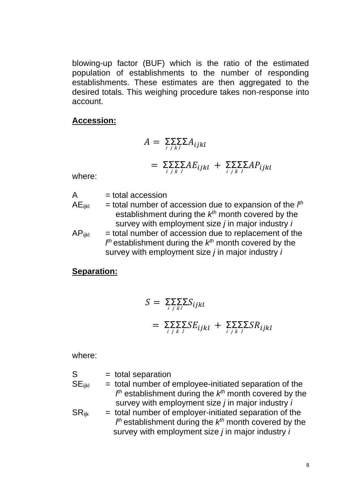blowing-up factor (BUF) which is the ratio of the estimated population of establishments to the number of responding establishments. These estimates are then aggregated to the desired totals. This weighing procedure takes non-response into account.

#### **Accession:**

$$
A = \sum_{i} \sum_{j} \sum_{k} A_{ijkl}
$$
  
=  $\sum_{i} \sum_{j} \sum_{k} A E_{ijkl} + \sum_{i} \sum_{j} \sum_{k} A P_{ijkl}$ 

where:

 $A = total \arccases in$ 

- $AE_{ijkl}$  = total number of accession due to expansion of the  $I<sup>th</sup>$ establishment during the  $k^{th}$  month covered by the survey with employment size *j* in major industry *i*
- $AP_{iikl}$  = total number of accession due to replacement of the *l th* establishment during the *k th* month covered by the survey with employment size *j* in major industry *i*

#### **Separation:**

$$
S = \sum_{i} \sum_{j} \sum_{k} S_{ijkl}
$$
  
=  $\sum_{i} \sum_{j} \sum_{k} SE_{ijkl} + \sum_{i} \sum_{j} \sum_{k} SR_{ijkl}$ 

where:

 $S =$  total separation  $SE_{ijkl}$  = total number of employee-initiated separation of the *l th* establishment during the *k th* month covered by the survey with employment size *j* in major industry *i*  $SR_{ijk}$  = total number of employer-initiated separation of the *l th* establishment during the *k th* month covered by the survey with employment size *j* in major industry *i*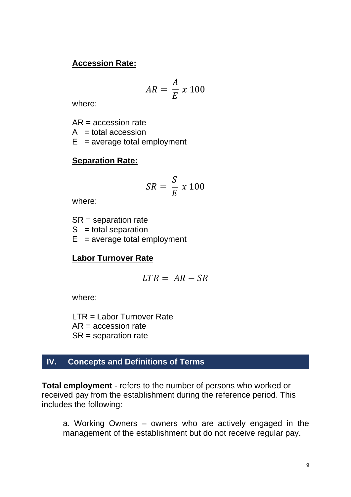### **Accession Rate:**

$$
AR = \frac{A}{E} \times 100
$$

where:

AR = accession rate

 $A = total$  accession

 $E$  = average total employment

### **Separation Rate:**

$$
SR = \frac{S}{E} \times 100
$$

where:

SR = separation rate  $S =$  total separation  $E$  = average total employment

## **Labor Turnover Rate**

$$
LTR = AR - SR
$$

where:

LTR = Labor Turnover Rate  $AR =$  accession rate SR = separation rate

## **IV. Concepts and Definitions of Terms**

**Total employment** - refers to the number of persons who worked or received pay from the establishment during the reference period. This includes the following:

a. Working Owners – owners who are actively engaged in the management of the establishment but do not receive regular pay.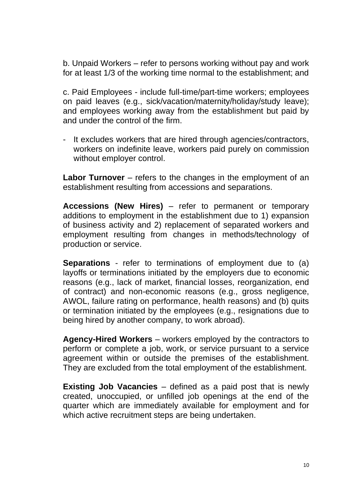b. Unpaid Workers – refer to persons working without pay and work for at least 1/3 of the working time normal to the establishment; and

c. Paid Employees - include full-time/part-time workers; employees on paid leaves (e.g., sick/vacation/maternity/holiday/study leave); and employees working away from the establishment but paid by and under the control of the firm.

- It excludes workers that are hired through agencies/contractors, workers on indefinite leave, workers paid purely on commission without employer control.

**Labor Turnover** – refers to the changes in the employment of an establishment resulting from accessions and separations.

**Accessions (New Hires)** – refer to permanent or temporary additions to employment in the establishment due to 1) expansion of business activity and 2) replacement of separated workers and employment resulting from changes in methods/technology of production or service.

**Separations** - refer to terminations of employment due to (a) layoffs or terminations initiated by the employers due to economic reasons (e.g., lack of market, financial losses, reorganization, end of contract) and non-economic reasons (e.g., gross negligence, AWOL, failure rating on performance, health reasons) and (b) quits or termination initiated by the employees (e.g., resignations due to being hired by another company, to work abroad).

**Agency-Hired Workers** – workers employed by the contractors to perform or complete a job, work, or service pursuant to a service agreement within or outside the premises of the establishment. They are excluded from the total employment of the establishment.

**Existing Job Vacancies** – defined as a paid post that is newly created, unoccupied, or unfilled job openings at the end of the quarter which are immediately available for employment and for which active recruitment steps are being undertaken.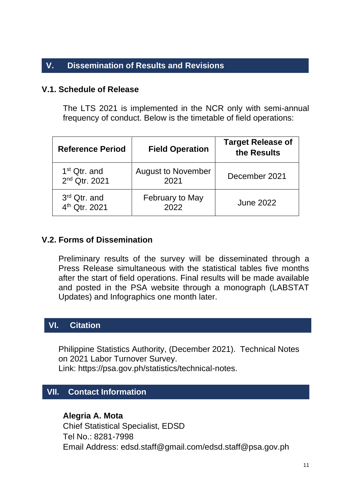## **V. Dissemination of Results and Revisions**

#### **V.1. Schedule of Release**

The LTS 2021 is implemented in the NCR only with semi-annual frequency of conduct. Below is the timetable of field operations:

| <b>Reference Period</b>                               | <b>Field Operation</b>            | <b>Target Release of</b><br>the Results |
|-------------------------------------------------------|-----------------------------------|-----------------------------------------|
| 1 <sup>st</sup> Qtr. and<br>2 <sup>nd</sup> Qtr. 2021 | <b>August to November</b><br>2021 | December 2021                           |
| 3rd Qtr. and<br>4 <sup>th</sup> Qtr. 2021             | February to May<br>2022           | <b>June 2022</b>                        |

### **V.2. Forms of Dissemination**

Preliminary results of the survey will be disseminated through a Press Release simultaneous with the statistical tables five months after the start of field operations. Final results will be made available and posted in the PSA website through a monograph (LABSTAT Updates) and Infographics one month later.

## **VI. Citation**

Philippine Statistics Authority, (December 2021). Technical Notes on 2021 Labor Turnover Survey. Link: https://psa.gov.ph/statistics/technical-notes.

## **VII. Contact Information**

#### **Alegria A. Mota**

Chief Statistical Specialist, EDSD Tel No.: 8281-7998 Email Address: [edsd.staff@gmail.com/edsd.staff@psa.gov.ph](mailto:edsd.staff@gmail.com/edsd.staff@psa.gov.ph)